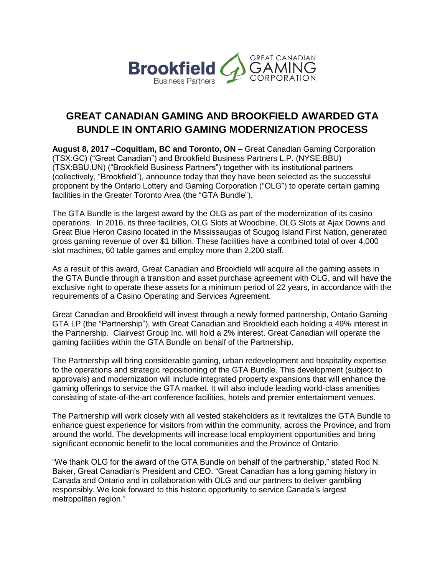

# **GREAT CANADIAN GAMING AND BROOKFIELD AWARDED GTA BUNDLE IN ONTARIO GAMING MODERNIZATION PROCESS**

**August 8, 2017 –Coquitlam, BC and Toronto, ON –** Great Canadian Gaming Corporation (TSX:GC) ("Great Canadian") and Brookfield Business Partners L.P. (NYSE:BBU) (TSX:BBU.UN) ("Brookfield Business Partners") together with its institutional partners (collectively, "Brookfield"), announce today that they have been selected as the successful proponent by the Ontario Lottery and Gaming Corporation ("OLG") to operate certain gaming facilities in the Greater Toronto Area (the "GTA Bundle").

The GTA Bundle is the largest award by the OLG as part of the modernization of its casino operations. In 2016, its three facilities, OLG Slots at Woodbine, OLG Slots at Ajax Downs and Great Blue Heron Casino located in the Mississaugas of Scugog Island First Nation, generated gross gaming revenue of over \$1 billion. These facilities have a combined total of over 4,000 slot machines, 60 table games and employ more than 2,200 staff.

As a result of this award, Great Canadian and Brookfield will acquire all the gaming assets in the GTA Bundle through a transition and asset purchase agreement with OLG, and will have the exclusive right to operate these assets for a minimum period of 22 years, in accordance with the requirements of a Casino Operating and Services Agreement.

Great Canadian and Brookfield will invest through a newly formed partnership, Ontario Gaming GTA LP (the "Partnership"), with Great Canadian and Brookfield each holding a 49% interest in the Partnership. Clairvest Group Inc. will hold a 2% interest. Great Canadian will operate the gaming facilities within the GTA Bundle on behalf of the Partnership.

The Partnership will bring considerable gaming, urban redevelopment and hospitality expertise to the operations and strategic repositioning of the GTA Bundle. This development (subject to approvals) and modernization will include integrated property expansions that will enhance the gaming offerings to service the GTA market. It will also include leading world-class amenities consisting of state-of-the-art conference facilities, hotels and premier entertainment venues.

The Partnership will work closely with all vested stakeholders as it revitalizes the GTA Bundle to enhance guest experience for visitors from within the community, across the Province, and from around the world. The developments will increase local employment opportunities and bring significant economic benefit to the local communities and the Province of Ontario.

"We thank OLG for the award of the GTA Bundle on behalf of the partnership," stated Rod N. Baker, Great Canadian's President and CEO. "Great Canadian has a long gaming history in Canada and Ontario and in collaboration with OLG and our partners to deliver gambling responsibly. We look forward to this historic opportunity to service Canada's largest metropolitan region."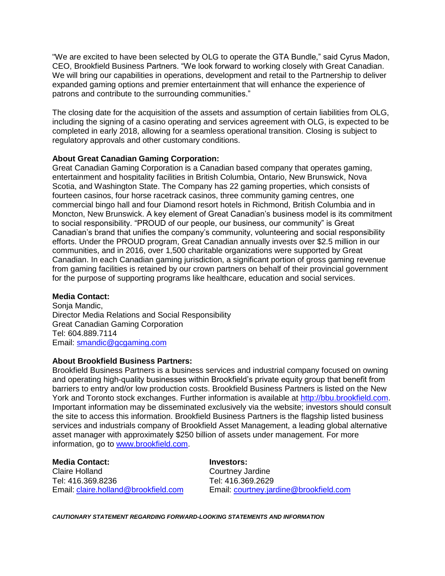"We are excited to have been selected by OLG to operate the GTA Bundle," said Cyrus Madon, CEO, Brookfield Business Partners. "We look forward to working closely with Great Canadian. We will bring our capabilities in operations, development and retail to the Partnership to deliver expanded gaming options and premier entertainment that will enhance the experience of patrons and contribute to the surrounding communities."

The closing date for the acquisition of the assets and assumption of certain liabilities from OLG, including the signing of a casino operating and services agreement with OLG, is expected to be completed in early 2018, allowing for a seamless operational transition. Closing is subject to regulatory approvals and other customary conditions.

#### **About Great Canadian Gaming Corporation:**

Great Canadian Gaming Corporation is a Canadian based company that operates gaming, entertainment and hospitality facilities in British Columbia, Ontario, New Brunswick, Nova Scotia, and Washington State. The Company has 22 gaming properties, which consists of fourteen casinos, four horse racetrack casinos, three community gaming centres, one commercial bingo hall and four Diamond resort hotels in Richmond, British Columbia and in Moncton, New Brunswick. A key element of Great Canadian's business model is its commitment to social responsibility. "PROUD of our people, our business, our community" is Great Canadian's brand that unifies the company's community, volunteering and social responsibility efforts. Under the PROUD program, Great Canadian annually invests over \$2.5 million in our communities, and in 2016, over 1,500 charitable organizations were supported by Great Canadian. In each Canadian gaming jurisdiction, a significant portion of gross gaming revenue from gaming facilities is retained by our crown partners on behalf of their provincial government for the purpose of supporting programs like healthcare, education and social services.

### **Media Contact:**

Sonja Mandic, Director Media Relations and Social Responsibility Great Canadian Gaming Corporation Tel: 604.889.7114 Email: [smandic@gcgaming.com](mailto:smandic@gcgaming.com)

### **About Brookfield Business Partners:**

Brookfield Business Partners is a business services and industrial company focused on owning and operating high-quality businesses within Brookfield's private equity group that benefit from barriers to entry and/or low production costs. Brookfield Business Partners is listed on the New York and Toronto stock exchanges. Further information is available at [http://bbu.brookfield.com.](http://bbu.brookfield.com/) Important information may be disseminated exclusively via the website; investors should consult the site to access this information. Brookfield Business Partners is the flagship listed business services and industrials company of Brookfield Asset Management, a leading global alternative asset manager with approximately \$250 billion of assets under management. For more information, go to [www.brookfield.com.](file://bcebffps/users/cholland/BBU/www.brookfield.com)

## **Media Contact: Investors:**

Claire Holland Courtney Jardine Tel: 416.369.8236 Tel: 416.369.2629

Email: [claire.holland@brookfield.com](mailto:claire.holland@brookfield.com) Email: [courtney.jardine@brookfield.com](mailto:courtney.jardine@brookfield.com)

*CAUTIONARY STATEMENT REGARDING FORWARD-LOOKING STATEMENTS AND INFORMATION*